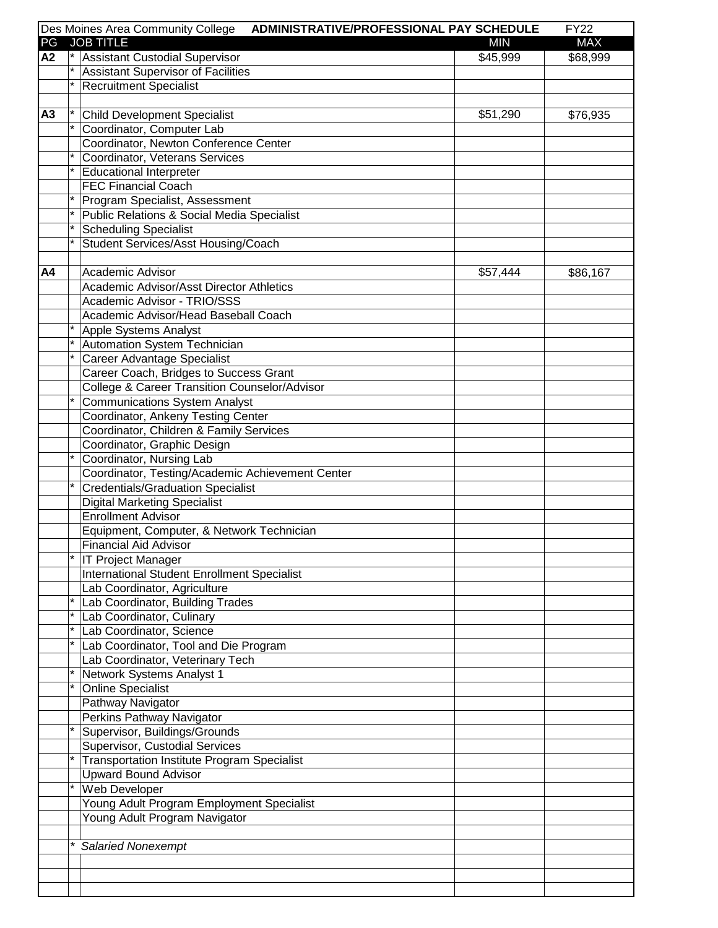|    |         | Des Moines Area Community College<br>ADMINISTRATIVE/PROFESSIONAL PAY SCHEDULE |            | <b>FY22</b> |
|----|---------|-------------------------------------------------------------------------------|------------|-------------|
| PG |         | <b>JOB TITLE</b>                                                              | <b>MIN</b> | <b>MAX</b>  |
| A2 |         | <sup>*</sup> Assistant Custodial Supervisor                                   | \$45,999   | \$68,999    |
|    | $\star$ | <b>Assistant Supervisor of Facilities</b>                                     |            |             |
|    |         | <b>Recruitment Specialist</b>                                                 |            |             |
|    |         |                                                                               |            |             |
| A3 |         | <b>Child Development Specialist</b>                                           | \$51,290   | \$76,935    |
|    | $\star$ | Coordinator, Computer Lab                                                     |            |             |
|    |         | Coordinator, Newton Conference Center                                         |            |             |
|    |         | Coordinator, Veterans Services                                                |            |             |
|    |         | <b>Educational Interpreter</b>                                                |            |             |
|    |         | <b>FEC Financial Coach</b>                                                    |            |             |
|    |         | Program Specialist, Assessment                                                |            |             |
|    |         | <b>Public Relations &amp; Social Media Specialist</b>                         |            |             |
|    |         | <b>Scheduling Specialist</b>                                                  |            |             |
|    |         | <b>Student Services/Asst Housing/Coach</b>                                    |            |             |
|    |         |                                                                               |            |             |
| A4 |         | Academic Advisor                                                              | \$57,444   | \$86,167    |
|    |         | Academic Advisor/Asst Director Athletics                                      |            |             |
|    |         | Academic Advisor - TRIO/SSS                                                   |            |             |
|    |         | Academic Advisor/Head Baseball Coach                                          |            |             |
|    |         | Apple Systems Analyst                                                         |            |             |
|    |         | Automation System Technician                                                  |            |             |
|    |         |                                                                               |            |             |
|    |         | Career Advantage Specialist                                                   |            |             |
|    |         | Career Coach, Bridges to Success Grant                                        |            |             |
|    |         | College & Career Transition Counselor/Advisor                                 |            |             |
|    |         | <b>Communications System Analyst</b>                                          |            |             |
|    |         | Coordinator, Ankeny Testing Center                                            |            |             |
|    |         | Coordinator, Children & Family Services                                       |            |             |
|    |         | Coordinator, Graphic Design                                                   |            |             |
|    |         | Coordinator, Nursing Lab                                                      |            |             |
|    |         | Coordinator, Testing/Academic Achievement Center                              |            |             |
|    |         | <b>Credentials/Graduation Specialist</b>                                      |            |             |
|    |         | <b>Digital Marketing Specialist</b>                                           |            |             |
|    |         | <b>Enrollment Advisor</b>                                                     |            |             |
|    |         | Equipment, Computer, & Network Technician                                     |            |             |
|    |         | <b>Financial Aid Advisor</b>                                                  |            |             |
|    |         | <b>IT Project Manager</b>                                                     |            |             |
|    |         | <b>International Student Enrollment Specialist</b>                            |            |             |
|    |         | Lab Coordinator, Agriculture                                                  |            |             |
|    |         | Lab Coordinator, Building Trades                                              |            |             |
|    |         | Lab Coordinator, Culinary                                                     |            |             |
|    |         | Lab Coordinator, Science                                                      |            |             |
|    |         | Lab Coordinator, Tool and Die Program                                         |            |             |
|    |         | Lab Coordinator, Veterinary Tech                                              |            |             |
|    |         | Network Systems Analyst 1                                                     |            |             |
|    |         | <b>Online Specialist</b>                                                      |            |             |
|    |         | Pathway Navigator                                                             |            |             |
|    |         | Perkins Pathway Navigator                                                     |            |             |
|    |         | Supervisor, Buildings/Grounds                                                 |            |             |
|    |         | Supervisor, Custodial Services                                                |            |             |
|    |         | <b>Transportation Institute Program Specialist</b>                            |            |             |
|    |         | <b>Upward Bound Advisor</b>                                                   |            |             |
|    |         | Web Developer                                                                 |            |             |
|    |         | Young Adult Program Employment Specialist                                     |            |             |
|    |         | Young Adult Program Navigator                                                 |            |             |
|    |         |                                                                               |            |             |
|    |         | <b>Salaried Nonexempt</b>                                                     |            |             |
|    |         |                                                                               |            |             |
|    |         |                                                                               |            |             |
|    |         |                                                                               |            |             |
|    |         |                                                                               |            |             |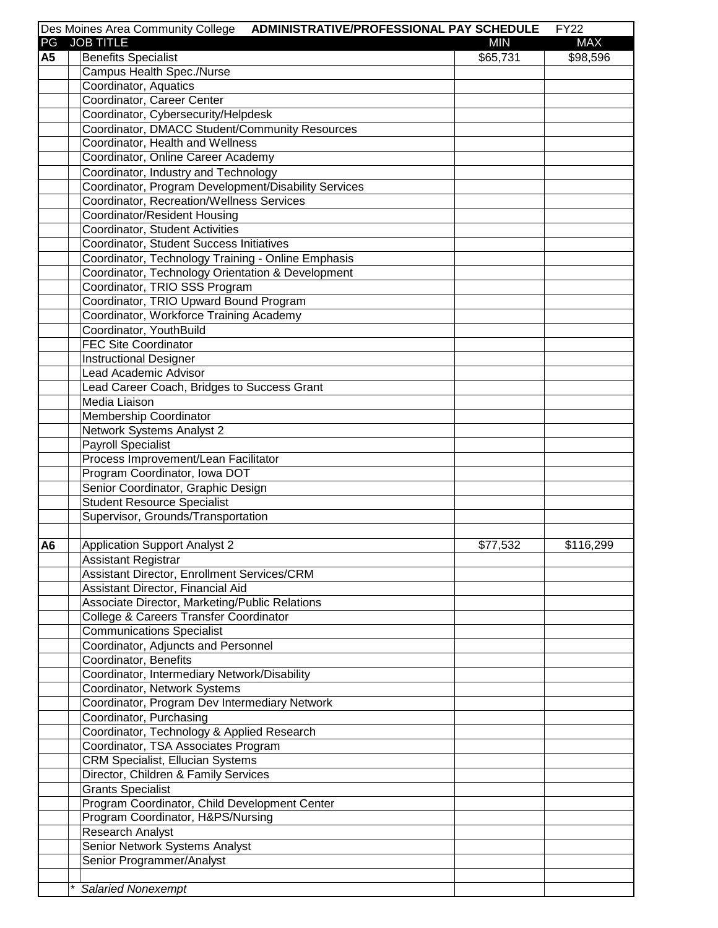|                | Des Moines Area Community College<br>ADMINISTRATIVE/PROFESSIONAL PAY SCHEDULE |            | <b>FY22</b> |
|----------------|-------------------------------------------------------------------------------|------------|-------------|
| PG             | <b>JOB TITLE</b>                                                              | <b>MIN</b> | <b>MAX</b>  |
| <b>A5</b>      | <b>Benefits Specialist</b>                                                    | \$65,731   | \$98,596    |
|                | Campus Health Spec./Nurse                                                     |            |             |
|                | Coordinator, Aquatics                                                         |            |             |
|                | Coordinator, Career Center                                                    |            |             |
|                | Coordinator, Cybersecurity/Helpdesk                                           |            |             |
|                | Coordinator, DMACC Student/Community Resources                                |            |             |
|                | Coordinator, Health and Wellness                                              |            |             |
|                | Coordinator, Online Career Academy                                            |            |             |
|                | Coordinator, Industry and Technology                                          |            |             |
|                | Coordinator, Program Development/Disability Services                          |            |             |
|                | <b>Coordinator, Recreation/Wellness Services</b>                              |            |             |
|                |                                                                               |            |             |
|                | Coordinator/Resident Housing                                                  |            |             |
|                | Coordinator, Student Activities                                               |            |             |
|                | Coordinator, Student Success Initiatives                                      |            |             |
|                | Coordinator, Technology Training - Online Emphasis                            |            |             |
|                | Coordinator, Technology Orientation & Development                             |            |             |
|                | Coordinator, TRIO SSS Program                                                 |            |             |
|                | Coordinator, TRIO Upward Bound Program                                        |            |             |
|                | Coordinator, Workforce Training Academy                                       |            |             |
|                | Coordinator, YouthBuild                                                       |            |             |
|                | <b>FEC Site Coordinator</b>                                                   |            |             |
|                | <b>Instructional Designer</b>                                                 |            |             |
|                | Lead Academic Advisor                                                         |            |             |
|                | Lead Career Coach, Bridges to Success Grant                                   |            |             |
|                | Media Liaison                                                                 |            |             |
|                | Membership Coordinator                                                        |            |             |
|                | Network Systems Analyst 2                                                     |            |             |
|                | <b>Payroll Specialist</b>                                                     |            |             |
|                | Process Improvement/Lean Facilitator                                          |            |             |
|                | Program Coordinator, Iowa DOT                                                 |            |             |
|                | Senior Coordinator, Graphic Design                                            |            |             |
|                | <b>Student Resource Specialist</b>                                            |            |             |
|                | Supervisor, Grounds/Transportation                                            |            |             |
|                |                                                                               |            |             |
|                |                                                                               |            |             |
| A <sub>6</sub> | <b>Application Support Analyst 2</b>                                          | \$77,532   | \$116,299   |
|                | <b>Assistant Registrar</b>                                                    |            |             |
|                | Assistant Director, Enrollment Services/CRM                                   |            |             |
|                | Assistant Director, Financial Aid                                             |            |             |
|                | Associate Director, Marketing/Public Relations                                |            |             |
|                | College & Careers Transfer Coordinator                                        |            |             |
|                | <b>Communications Specialist</b>                                              |            |             |
|                | Coordinator, Adjuncts and Personnel                                           |            |             |
|                | Coordinator, Benefits                                                         |            |             |
|                | Coordinator, Intermediary Network/Disability                                  |            |             |
|                | Coordinator, Network Systems                                                  |            |             |
|                | Coordinator, Program Dev Intermediary Network                                 |            |             |
|                | Coordinator, Purchasing                                                       |            |             |
|                | Coordinator, Technology & Applied Research                                    |            |             |
|                | Coordinator, TSA Associates Program                                           |            |             |
|                | <b>CRM Specialist, Ellucian Systems</b>                                       |            |             |
|                | Director, Children & Family Services                                          |            |             |
|                | <b>Grants Specialist</b>                                                      |            |             |
|                | Program Coordinator, Child Development Center                                 |            |             |
|                | Program Coordinator, H&PS/Nursing                                             |            |             |
|                |                                                                               |            |             |
|                | Research Analyst                                                              |            |             |
|                | Senior Network Systems Analyst                                                |            |             |
|                | Senior Programmer/Analyst                                                     |            |             |
|                |                                                                               |            |             |
|                | <b>Salaried Nonexempt</b>                                                     |            |             |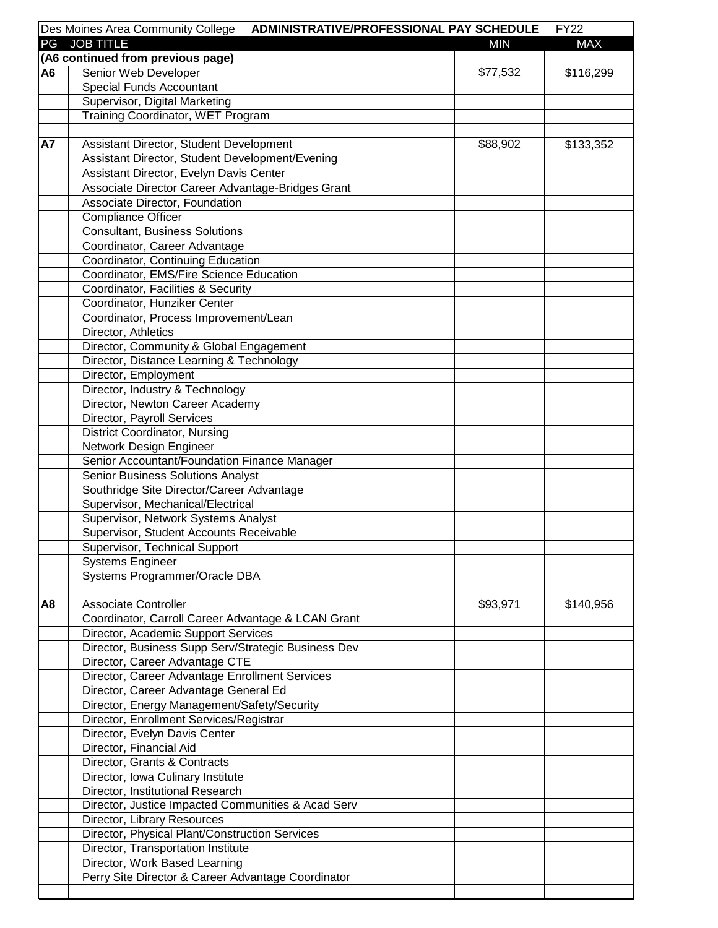|                | Des Moines Area Community College<br>ADMINISTRATIVE/PROFESSIONAL PAY SCHEDULE  |            | <b>FY22</b> |
|----------------|--------------------------------------------------------------------------------|------------|-------------|
| PG             | <b>JOB TITLE</b>                                                               | <b>MIN</b> | <b>MAX</b>  |
|                | (A6 continued from previous page)                                              |            |             |
| A <sub>6</sub> | Senior Web Developer                                                           | \$77,532   | \$116,299   |
|                | <b>Special Funds Accountant</b>                                                |            |             |
|                | Supervisor, Digital Marketing                                                  |            |             |
|                | Training Coordinator, WET Program                                              |            |             |
|                |                                                                                |            |             |
| <b>A7</b>      | Assistant Director, Student Development                                        | \$88,902   | \$133,352   |
|                | Assistant Director, Student Development/Evening                                |            |             |
|                | Assistant Director, Evelyn Davis Center                                        |            |             |
|                | Associate Director Career Advantage-Bridges Grant                              |            |             |
|                | Associate Director, Foundation                                                 |            |             |
|                | Compliance Officer                                                             |            |             |
|                | <b>Consultant, Business Solutions</b>                                          |            |             |
|                | Coordinator, Career Advantage                                                  |            |             |
|                | Coordinator, Continuing Education                                              |            |             |
|                | Coordinator, EMS/Fire Science Education                                        |            |             |
|                | Coordinator, Facilities & Security                                             |            |             |
|                | Coordinator, Hunziker Center                                                   |            |             |
|                | Coordinator, Process Improvement/Lean                                          |            |             |
|                | Director, Athletics                                                            |            |             |
|                | Director, Community & Global Engagement                                        |            |             |
|                | Director, Distance Learning & Technology                                       |            |             |
|                | Director, Employment                                                           |            |             |
|                | Director, Industry & Technology                                                |            |             |
|                | Director, Newton Career Academy                                                |            |             |
|                | Director, Payroll Services                                                     |            |             |
|                | <b>District Coordinator, Nursing</b>                                           |            |             |
|                | Network Design Engineer                                                        |            |             |
|                | Senior Accountant/Foundation Finance Manager                                   |            |             |
|                | Senior Business Solutions Analyst<br>Southridge Site Director/Career Advantage |            |             |
|                | Supervisor, Mechanical/Electrical                                              |            |             |
|                | Supervisor, Network Systems Analyst                                            |            |             |
|                | Supervisor, Student Accounts Receivable                                        |            |             |
|                | Supervisor, Technical Support                                                  |            |             |
|                | <b>Systems Engineer</b>                                                        |            |             |
|                | Systems Programmer/Oracle DBA                                                  |            |             |
|                |                                                                                |            |             |
| A8             | <b>Associate Controller</b>                                                    | \$93,971   | \$140,956   |
|                | Coordinator, Carroll Career Advantage & LCAN Grant                             |            |             |
|                | Director, Academic Support Services                                            |            |             |
|                | Director, Business Supp Serv/Strategic Business Dev                            |            |             |
|                | Director, Career Advantage CTE                                                 |            |             |
|                | Director, Career Advantage Enrollment Services                                 |            |             |
|                | Director, Career Advantage General Ed                                          |            |             |
|                | Director, Energy Management/Safety/Security                                    |            |             |
|                | Director, Enrollment Services/Registrar                                        |            |             |
|                | Director, Evelyn Davis Center                                                  |            |             |
|                | Director, Financial Aid                                                        |            |             |
|                | Director, Grants & Contracts                                                   |            |             |
|                | Director, Iowa Culinary Institute                                              |            |             |
|                | Director, Institutional Research                                               |            |             |
|                | Director, Justice Impacted Communities & Acad Serv                             |            |             |
|                | Director, Library Resources                                                    |            |             |
|                | Director, Physical Plant/Construction Services                                 |            |             |
|                | Director, Transportation Institute                                             |            |             |
|                | Director, Work Based Learning                                                  |            |             |
|                | Perry Site Director & Career Advantage Coordinator                             |            |             |
|                |                                                                                |            |             |